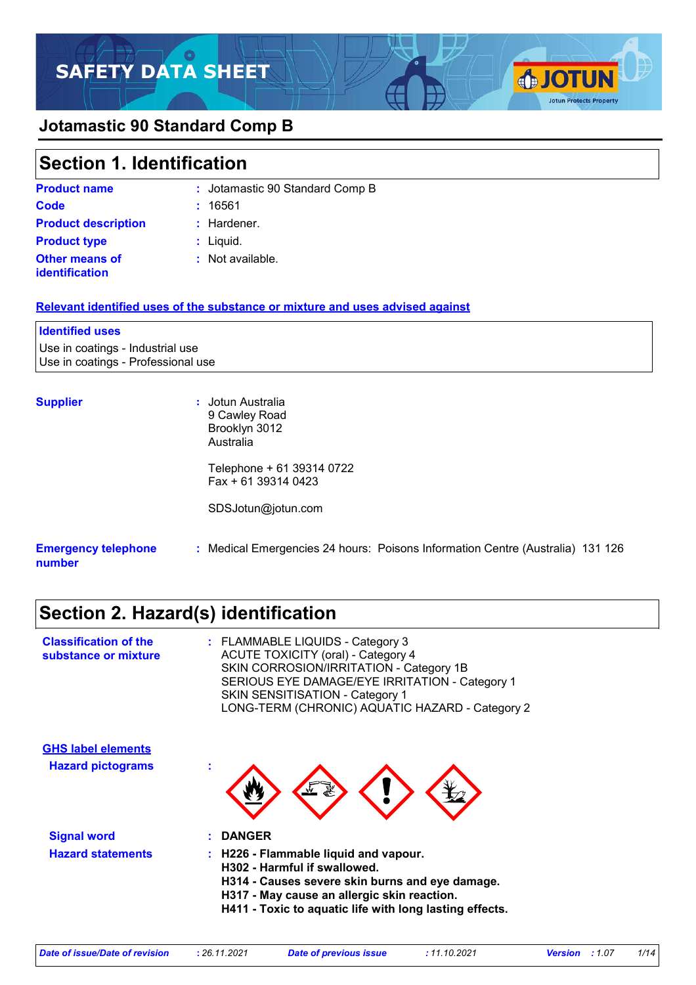



# **Section 1. Identification**

| <b>Product name</b>                            | : Jotamastic 90 Standard Comp B |
|------------------------------------------------|---------------------------------|
| Code                                           | : 16561                         |
| <b>Product description</b>                     | $:$ Hardener.                   |
| <b>Product type</b>                            | $:$ Liquid.                     |
| <b>Other means of</b><br><b>identification</b> | : Not available.                |

#### **Relevant identified uses of the substance or mixture and uses advised against**

# **Identified uses**

Use in coatings - Industrial use Use in coatings - Professional use

**Supplier :** Jotun Australia 9 Cawley Road Brooklyn 3012 Australia

> Telephone + 61 39314 0722 Fax + 61 39314 0423

SDSJotun@jotun.com

#### **Emergency telephone number :** Medical Emergencies 24 hours: Poisons Information Centre (Australia) 131 126

**SJOTUN** 

**Jotun Protects Property** 

# **Section 2. Hazard(s) identification**

| <b>Classification of the</b><br>substance or mixture | : FLAMMABLE LIQUIDS - Category 3<br><b>ACUTE TOXICITY (oral) - Category 4</b><br>SKIN CORROSION/IRRITATION - Category 1B<br>SERIOUS EYE DAMAGE/EYE IRRITATION - Category 1<br><b>SKIN SENSITISATION - Category 1</b><br>LONG-TERM (CHRONIC) AQUATIC HAZARD - Category 2 |
|------------------------------------------------------|-------------------------------------------------------------------------------------------------------------------------------------------------------------------------------------------------------------------------------------------------------------------------|
| <b>GHS label elements</b>                            |                                                                                                                                                                                                                                                                         |
| <b>Hazard pictograms</b>                             |                                                                                                                                                                                                                                                                         |
| <b>Signal word</b>                                   | <b>DANGER</b>                                                                                                                                                                                                                                                           |
| <b>Hazard statements</b>                             | : H226 - Flammable liquid and vapour.<br>H302 - Harmful if swallowed.<br>H314 - Causes severe skin burns and eye damage.<br>H317 - May cause an allergic skin reaction.<br>H411 - Toxic to aquatic life with long lasting effects.                                      |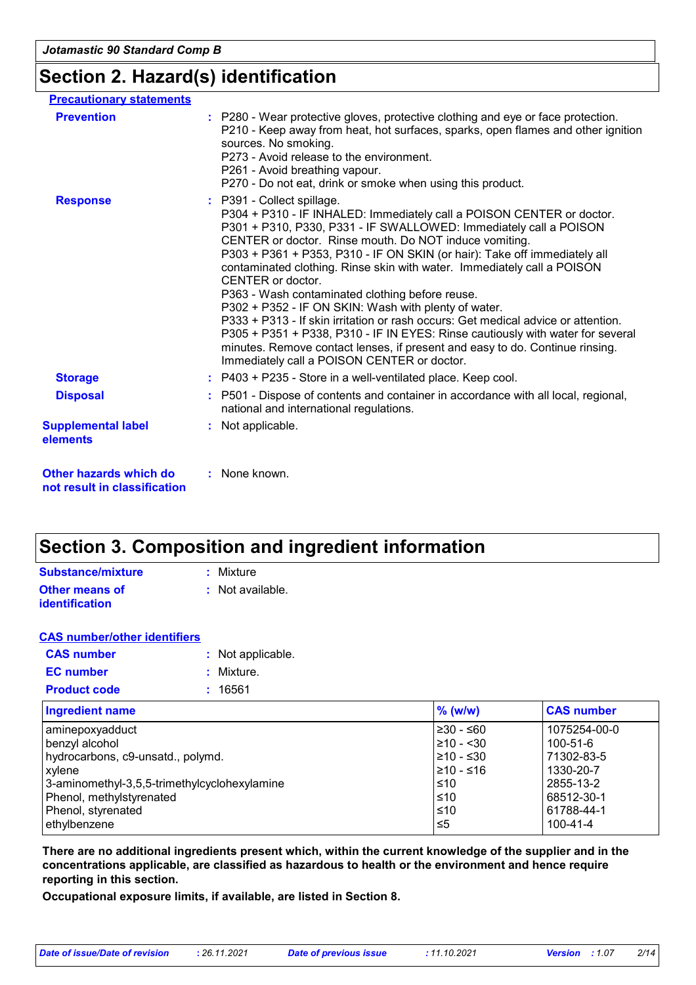### **Section 2. Hazard(s) identification**

| <b>Precautionary statements</b>                        |                                                                                                                                                                                                                                                                                                                                                                                                                                                                                                                                                                                                                                                                                                                                                                                                                                  |
|--------------------------------------------------------|----------------------------------------------------------------------------------------------------------------------------------------------------------------------------------------------------------------------------------------------------------------------------------------------------------------------------------------------------------------------------------------------------------------------------------------------------------------------------------------------------------------------------------------------------------------------------------------------------------------------------------------------------------------------------------------------------------------------------------------------------------------------------------------------------------------------------------|
| <b>Prevention</b>                                      | : P280 - Wear protective gloves, protective clothing and eye or face protection.<br>P210 - Keep away from heat, hot surfaces, sparks, open flames and other ignition<br>sources. No smoking.<br>P273 - Avoid release to the environment.<br>P261 - Avoid breathing vapour.<br>P270 - Do not eat, drink or smoke when using this product.                                                                                                                                                                                                                                                                                                                                                                                                                                                                                         |
| <b>Response</b>                                        | : P391 - Collect spillage.<br>P304 + P310 - IF INHALED: Immediately call a POISON CENTER or doctor.<br>P301 + P310, P330, P331 - IF SWALLOWED: Immediately call a POISON<br>CENTER or doctor. Rinse mouth. Do NOT induce vomiting.<br>P303 + P361 + P353, P310 - IF ON SKIN (or hair): Take off immediately all<br>contaminated clothing. Rinse skin with water. Immediately call a POISON<br>CENTER or doctor.<br>P363 - Wash contaminated clothing before reuse.<br>P302 + P352 - IF ON SKIN: Wash with plenty of water.<br>P333 + P313 - If skin irritation or rash occurs: Get medical advice or attention.<br>P305 + P351 + P338, P310 - IF IN EYES: Rinse cautiously with water for several<br>minutes. Remove contact lenses, if present and easy to do. Continue rinsing.<br>Immediately call a POISON CENTER or doctor. |
| <b>Storage</b>                                         | $:$ P403 + P235 - Store in a well-ventilated place. Keep cool.                                                                                                                                                                                                                                                                                                                                                                                                                                                                                                                                                                                                                                                                                                                                                                   |
| <b>Disposal</b>                                        | : P501 - Dispose of contents and container in accordance with all local, regional,<br>national and international regulations.                                                                                                                                                                                                                                                                                                                                                                                                                                                                                                                                                                                                                                                                                                    |
| <b>Supplemental label</b><br>elements                  | : Not applicable.                                                                                                                                                                                                                                                                                                                                                                                                                                                                                                                                                                                                                                                                                                                                                                                                                |
| Other hazards which do<br>not result in classification | : None known.                                                                                                                                                                                                                                                                                                                                                                                                                                                                                                                                                                                                                                                                                                                                                                                                                    |

# **Section 3. Composition and ingredient information**

| Substance/mixture                              | : Mixture                   |
|------------------------------------------------|-----------------------------|
| <b>Other means of</b><br><b>identification</b> | $\therefore$ Not available. |

| <b>CAS number/other identifiers</b> |                   |
|-------------------------------------|-------------------|
| <b>CAS number</b>                   | : Not applicable. |
| <b>EC</b> number                    | : Mixture.        |
| <b>Product code</b>                 | : 16561           |
|                                     |                   |

| <b>Ingredient name</b>                       | $\%$ (w/w)     | <b>CAS number</b> |
|----------------------------------------------|----------------|-------------------|
| aminepoxyadduct                              | l≥30 - ≤60     | 1075254-00-0      |
| benzyl alcohol                               | $\geq 10 - 30$ | $100 - 51 - 6$    |
| hydrocarbons, c9-unsatd., polymd.            | 210 - ≤30      | 71302-83-5        |
| <b>xylene</b>                                | 1≥10 - ≤16     | 1330-20-7         |
| 3-aminomethyl-3,5,5-trimethylcyclohexylamine | ≤10            | 2855-13-2         |
| Phenol, methylstyrenated                     | ≤10            | 68512-30-1        |
| Phenol, styrenated                           | ≤10            | 61788-44-1        |
| ethylbenzene                                 | ≤5             | $100 - 41 - 4$    |

**There are no additional ingredients present which, within the current knowledge of the supplier and in the concentrations applicable, are classified as hazardous to health or the environment and hence require reporting in this section.**

**Occupational exposure limits, if available, are listed in Section 8.**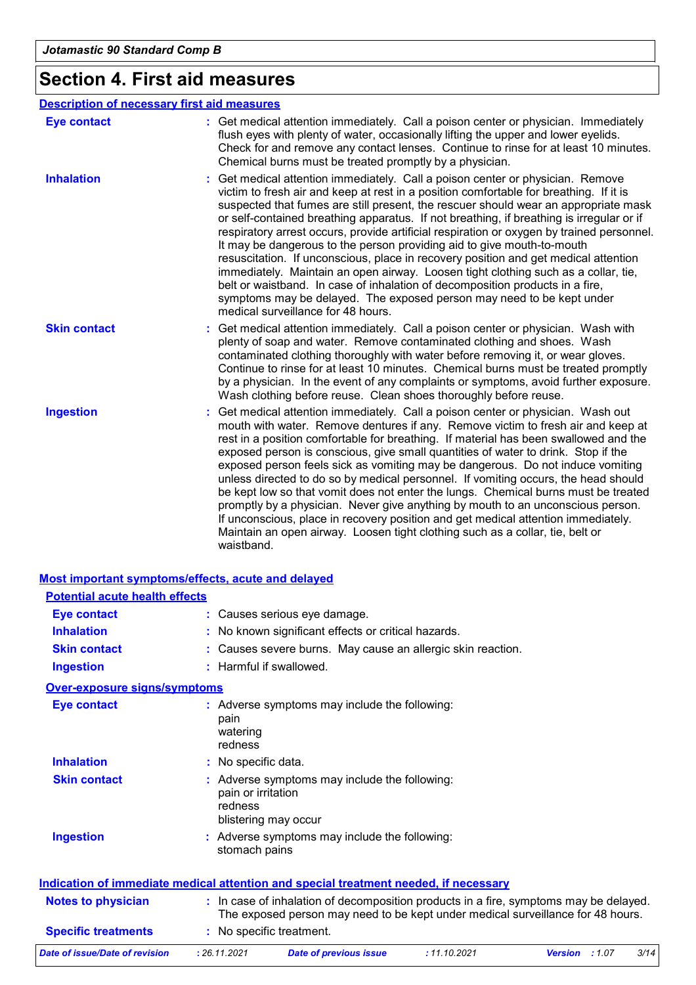# **Section 4. First aid measures**

|                     | <b>Description of necessary first aid measures</b>                                                                                                                                                                                                                                                                                                                                                                                                                                                                                                                                                                                                                                                                                                                                                                                                                                                            |
|---------------------|---------------------------------------------------------------------------------------------------------------------------------------------------------------------------------------------------------------------------------------------------------------------------------------------------------------------------------------------------------------------------------------------------------------------------------------------------------------------------------------------------------------------------------------------------------------------------------------------------------------------------------------------------------------------------------------------------------------------------------------------------------------------------------------------------------------------------------------------------------------------------------------------------------------|
| <b>Eye contact</b>  | : Get medical attention immediately. Call a poison center or physician. Immediately<br>flush eyes with plenty of water, occasionally lifting the upper and lower eyelids.<br>Check for and remove any contact lenses. Continue to rinse for at least 10 minutes.<br>Chemical burns must be treated promptly by a physician.                                                                                                                                                                                                                                                                                                                                                                                                                                                                                                                                                                                   |
| <b>Inhalation</b>   | Get medical attention immediately. Call a poison center or physician. Remove<br>victim to fresh air and keep at rest in a position comfortable for breathing. If it is<br>suspected that fumes are still present, the rescuer should wear an appropriate mask<br>or self-contained breathing apparatus. If not breathing, if breathing is irregular or if<br>respiratory arrest occurs, provide artificial respiration or oxygen by trained personnel.<br>It may be dangerous to the person providing aid to give mouth-to-mouth<br>resuscitation. If unconscious, place in recovery position and get medical attention<br>immediately. Maintain an open airway. Loosen tight clothing such as a collar, tie,<br>belt or waistband. In case of inhalation of decomposition products in a fire,<br>symptoms may be delayed. The exposed person may need to be kept under<br>medical surveillance for 48 hours. |
| <b>Skin contact</b> | Get medical attention immediately. Call a poison center or physician. Wash with<br>plenty of soap and water. Remove contaminated clothing and shoes. Wash<br>contaminated clothing thoroughly with water before removing it, or wear gloves.<br>Continue to rinse for at least 10 minutes. Chemical burns must be treated promptly<br>by a physician. In the event of any complaints or symptoms, avoid further exposure.<br>Wash clothing before reuse. Clean shoes thoroughly before reuse.                                                                                                                                                                                                                                                                                                                                                                                                                 |
| <b>Ingestion</b>    | Get medical attention immediately. Call a poison center or physician. Wash out<br>mouth with water. Remove dentures if any. Remove victim to fresh air and keep at<br>rest in a position comfortable for breathing. If material has been swallowed and the<br>exposed person is conscious, give small quantities of water to drink. Stop if the<br>exposed person feels sick as vomiting may be dangerous. Do not induce vomiting<br>unless directed to do so by medical personnel. If vomiting occurs, the head should<br>be kept low so that vomit does not enter the lungs. Chemical burns must be treated<br>promptly by a physician. Never give anything by mouth to an unconscious person.<br>If unconscious, place in recovery position and get medical attention immediately.<br>Maintain an open airway. Loosen tight clothing such as a collar, tie, belt or<br>waistband.                          |

| <b>Potential acute health effects</b> | <b>Most important symptoms/effects, acute and delayed</b>                                                                                                                |
|---------------------------------------|--------------------------------------------------------------------------------------------------------------------------------------------------------------------------|
| <b>Eye contact</b>                    | : Causes serious eye damage.                                                                                                                                             |
| <b>Inhalation</b>                     | : No known significant effects or critical hazards.                                                                                                                      |
| <b>Skin contact</b>                   | : Causes severe burns. May cause an allergic skin reaction.                                                                                                              |
| <b>Ingestion</b>                      | : Harmful if swallowed.                                                                                                                                                  |
| <b>Over-exposure signs/symptoms</b>   |                                                                                                                                                                          |
| <b>Eye contact</b>                    | : Adverse symptoms may include the following:<br>pain<br>watering<br>redness                                                                                             |
| <b>Inhalation</b>                     | : No specific data.                                                                                                                                                      |
| <b>Skin contact</b>                   | : Adverse symptoms may include the following:<br>pain or irritation<br>redness<br>blistering may occur                                                                   |
| <b>Ingestion</b>                      | : Adverse symptoms may include the following:<br>stomach pains                                                                                                           |
|                                       | Indication of immediate medical attention and special treatment needed, if necessary                                                                                     |
| <b>Notes to physician</b>             | : In case of inhalation of decomposition products in a fire, symptoms may be delayed.<br>The exposed person may need to be kept under medical surveillance for 48 hours. |
| <b>Specific treatments</b>            | : No specific treatment.                                                                                                                                                 |

| Date of issue/Date of revision | 26.11.2021 | Date of previous issue | 11.10.2021 | Version : 1.07 | 3/14 |
|--------------------------------|------------|------------------------|------------|----------------|------|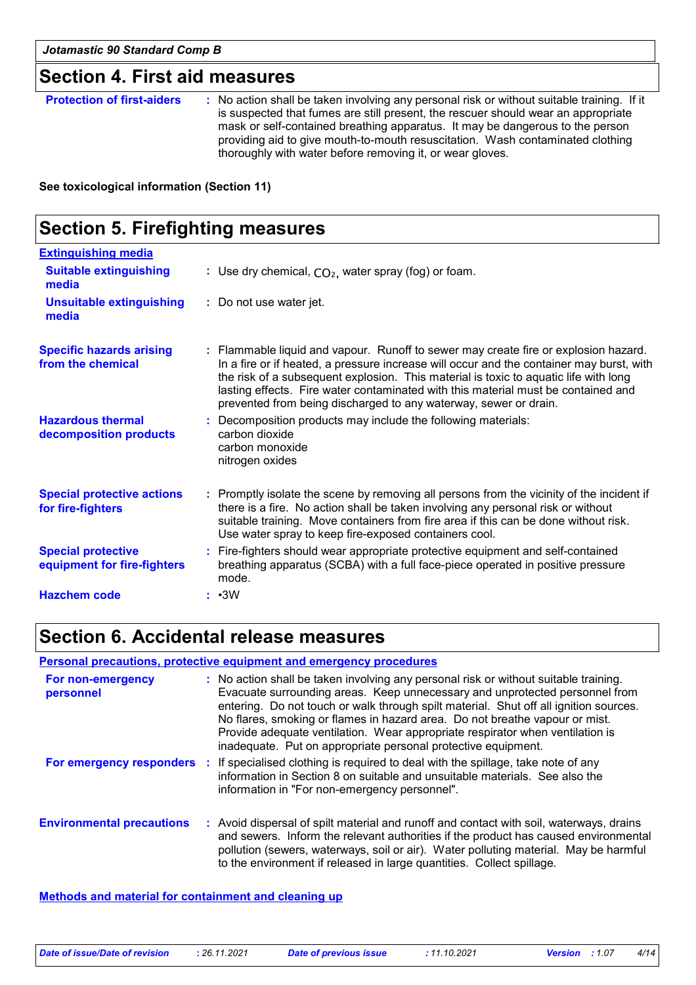### **Section 4. First aid measures**

**Protection of first-aiders** : No action shall be taken involving any personal risk or without suitable training. If it is suspected that fumes are still present, the rescuer should wear an appropriate mask or self-contained breathing apparatus. It may be dangerous to the person providing aid to give mouth-to-mouth resuscitation. Wash contaminated clothing thoroughly with water before removing it, or wear gloves.

**See toxicological information (Section 11)**

| <b>Section 5. Firefighting measures</b>                  |                                                                                                                                                                                                                                                                                                                                                                                                                                  |
|----------------------------------------------------------|----------------------------------------------------------------------------------------------------------------------------------------------------------------------------------------------------------------------------------------------------------------------------------------------------------------------------------------------------------------------------------------------------------------------------------|
| <b>Extinguishing media</b>                               |                                                                                                                                                                                                                                                                                                                                                                                                                                  |
| <b>Suitable extinguishing</b><br>media                   | : Use dry chemical, $CO2$ , water spray (fog) or foam.                                                                                                                                                                                                                                                                                                                                                                           |
| <b>Unsuitable extinguishing</b><br>media                 | : Do not use water jet.                                                                                                                                                                                                                                                                                                                                                                                                          |
| <b>Specific hazards arising</b><br>from the chemical     | : Flammable liquid and vapour. Runoff to sewer may create fire or explosion hazard.<br>In a fire or if heated, a pressure increase will occur and the container may burst, with<br>the risk of a subsequent explosion. This material is toxic to aquatic life with long<br>lasting effects. Fire water contaminated with this material must be contained and<br>prevented from being discharged to any waterway, sewer or drain. |
| <b>Hazardous thermal</b><br>decomposition products       | : Decomposition products may include the following materials:<br>carbon dioxide<br>carbon monoxide<br>nitrogen oxides                                                                                                                                                                                                                                                                                                            |
| <b>Special protective actions</b><br>for fire-fighters   | : Promptly isolate the scene by removing all persons from the vicinity of the incident if<br>there is a fire. No action shall be taken involving any personal risk or without<br>suitable training. Move containers from fire area if this can be done without risk.<br>Use water spray to keep fire-exposed containers cool.                                                                                                    |
| <b>Special protective</b><br>equipment for fire-fighters | : Fire-fighters should wear appropriate protective equipment and self-contained<br>breathing apparatus (SCBA) with a full face-piece operated in positive pressure<br>mode.                                                                                                                                                                                                                                                      |
| <b>Hazchem code</b>                                      | $: \cdot 3W$                                                                                                                                                                                                                                                                                                                                                                                                                     |

### **Section 6. Accidental release measures**

|                                  | <b>Personal precautions, protective equipment and emergency procedures</b>                                                                                                                                                                                                                                                                                                                                                                                                                    |
|----------------------------------|-----------------------------------------------------------------------------------------------------------------------------------------------------------------------------------------------------------------------------------------------------------------------------------------------------------------------------------------------------------------------------------------------------------------------------------------------------------------------------------------------|
| For non-emergency<br>personnel   | : No action shall be taken involving any personal risk or without suitable training.<br>Evacuate surrounding areas. Keep unnecessary and unprotected personnel from<br>entering. Do not touch or walk through spilt material. Shut off all ignition sources.<br>No flares, smoking or flames in hazard area. Do not breathe vapour or mist.<br>Provide adequate ventilation. Wear appropriate respirator when ventilation is<br>inadequate. Put on appropriate personal protective equipment. |
|                                  | <b>For emergency responders</b> : If specialised clothing is required to deal with the spillage, take note of any<br>information in Section 8 on suitable and unsuitable materials. See also the<br>information in "For non-emergency personnel".                                                                                                                                                                                                                                             |
| <b>Environmental precautions</b> | : Avoid dispersal of spilt material and runoff and contact with soil, waterways, drains<br>and sewers. Inform the relevant authorities if the product has caused environmental<br>pollution (sewers, waterways, soil or air). Water polluting material. May be harmful<br>to the environment if released in large quantities. Collect spillage.                                                                                                                                               |

#### **Methods and material for containment and cleaning up**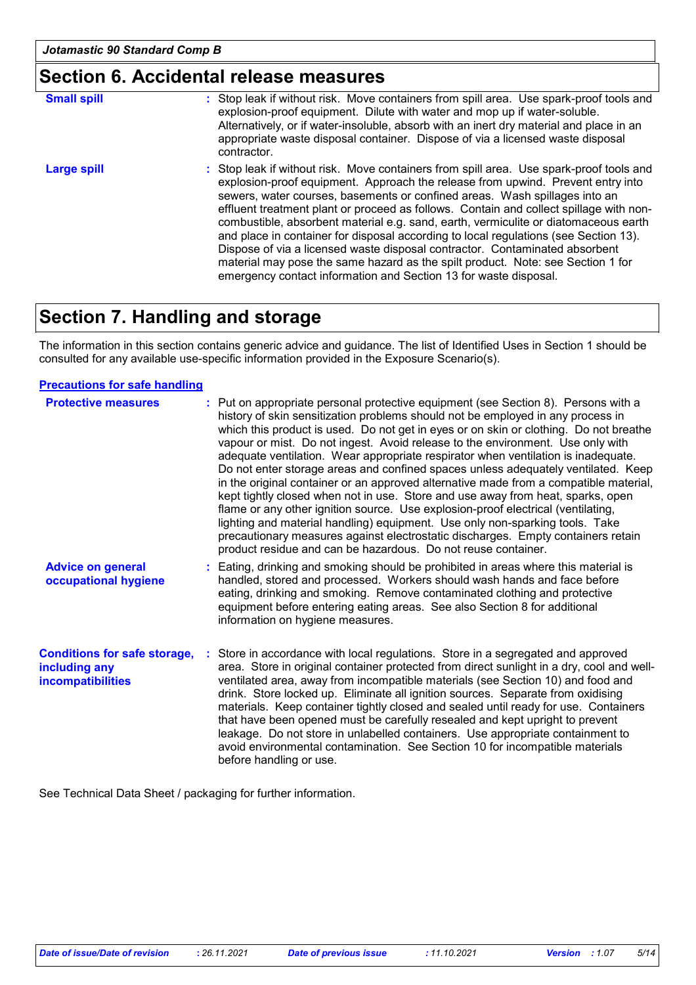### **Section 6. Accidental release measures**

| <b>Small spill</b> | : Stop leak if without risk. Move containers from spill area. Use spark-proof tools and<br>explosion-proof equipment. Dilute with water and mop up if water-soluble.<br>Alternatively, or if water-insoluble, absorb with an inert dry material and place in an<br>appropriate waste disposal container. Dispose of via a licensed waste disposal<br>contractor.                                                                                                                                                                                                                                                                                                                                                                                                        |
|--------------------|-------------------------------------------------------------------------------------------------------------------------------------------------------------------------------------------------------------------------------------------------------------------------------------------------------------------------------------------------------------------------------------------------------------------------------------------------------------------------------------------------------------------------------------------------------------------------------------------------------------------------------------------------------------------------------------------------------------------------------------------------------------------------|
| Large spill        | : Stop leak if without risk. Move containers from spill area. Use spark-proof tools and<br>explosion-proof equipment. Approach the release from upwind. Prevent entry into<br>sewers, water courses, basements or confined areas. Wash spillages into an<br>effluent treatment plant or proceed as follows. Contain and collect spillage with non-<br>combustible, absorbent material e.g. sand, earth, vermiculite or diatomaceous earth<br>and place in container for disposal according to local regulations (see Section 13).<br>Dispose of via a licensed waste disposal contractor. Contaminated absorbent<br>material may pose the same hazard as the spilt product. Note: see Section 1 for<br>emergency contact information and Section 13 for waste disposal. |

# **Section 7. Handling and storage**

The information in this section contains generic advice and guidance. The list of Identified Uses in Section 1 should be consulted for any available use-specific information provided in the Exposure Scenario(s).

#### **Precautions for safe handling**

| <b>Protective measures</b>                                                       | : Put on appropriate personal protective equipment (see Section 8). Persons with a<br>history of skin sensitization problems should not be employed in any process in<br>which this product is used. Do not get in eyes or on skin or clothing. Do not breathe<br>vapour or mist. Do not ingest. Avoid release to the environment. Use only with<br>adequate ventilation. Wear appropriate respirator when ventilation is inadequate.<br>Do not enter storage areas and confined spaces unless adequately ventilated. Keep<br>in the original container or an approved alternative made from a compatible material,<br>kept tightly closed when not in use. Store and use away from heat, sparks, open<br>flame or any other ignition source. Use explosion-proof electrical (ventilating,<br>lighting and material handling) equipment. Use only non-sparking tools. Take<br>precautionary measures against electrostatic discharges. Empty containers retain<br>product residue and can be hazardous. Do not reuse container. |
|----------------------------------------------------------------------------------|---------------------------------------------------------------------------------------------------------------------------------------------------------------------------------------------------------------------------------------------------------------------------------------------------------------------------------------------------------------------------------------------------------------------------------------------------------------------------------------------------------------------------------------------------------------------------------------------------------------------------------------------------------------------------------------------------------------------------------------------------------------------------------------------------------------------------------------------------------------------------------------------------------------------------------------------------------------------------------------------------------------------------------|
| <b>Advice on general</b><br>occupational hygiene                                 | Eating, drinking and smoking should be prohibited in areas where this material is<br>handled, stored and processed. Workers should wash hands and face before<br>eating, drinking and smoking. Remove contaminated clothing and protective<br>equipment before entering eating areas. See also Section 8 for additional<br>information on hygiene measures.                                                                                                                                                                                                                                                                                                                                                                                                                                                                                                                                                                                                                                                                     |
| <b>Conditions for safe storage,</b><br>including any<br><b>incompatibilities</b> | Store in accordance with local regulations. Store in a segregated and approved<br>area. Store in original container protected from direct sunlight in a dry, cool and well-<br>ventilated area, away from incompatible materials (see Section 10) and food and<br>drink. Store locked up. Eliminate all ignition sources. Separate from oxidising<br>materials. Keep container tightly closed and sealed until ready for use. Containers<br>that have been opened must be carefully resealed and kept upright to prevent<br>leakage. Do not store in unlabelled containers. Use appropriate containment to<br>avoid environmental contamination. See Section 10 for incompatible materials<br>before handling or use.                                                                                                                                                                                                                                                                                                           |

See Technical Data Sheet / packaging for further information.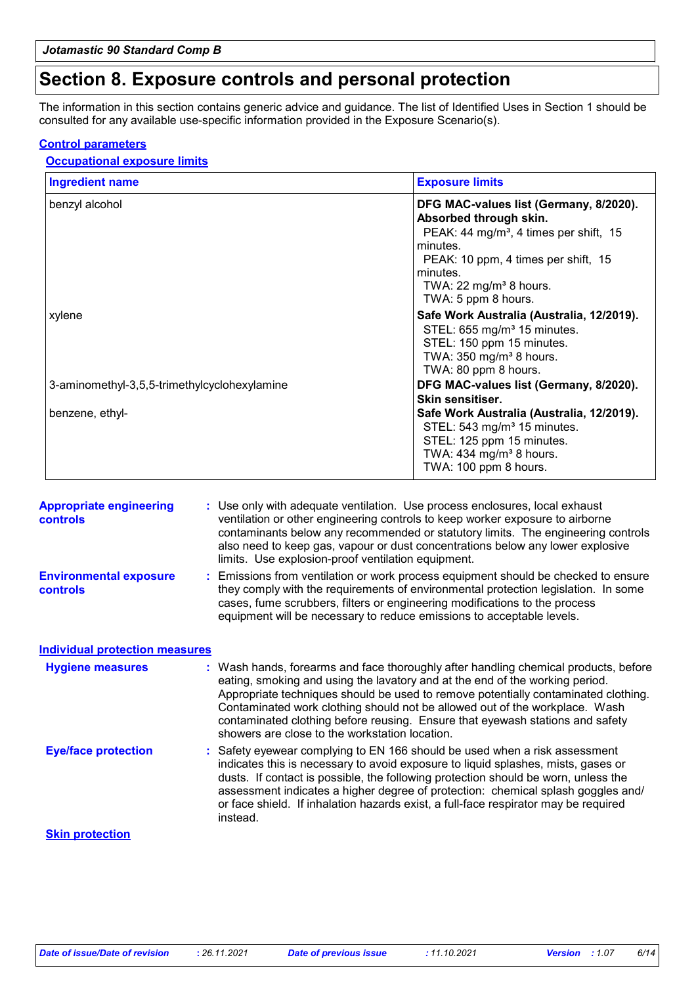### **Section 8. Exposure controls and personal protection**

The information in this section contains generic advice and guidance. The list of Identified Uses in Section 1 should be consulted for any available use-specific information provided in the Exposure Scenario(s).

#### **Control parameters**

#### **Occupational exposure limits**

| <b>Ingredient name</b>                       | <b>Exposure limits</b>                                                                                                                                                                                                                             |  |  |
|----------------------------------------------|----------------------------------------------------------------------------------------------------------------------------------------------------------------------------------------------------------------------------------------------------|--|--|
| benzyl alcohol                               | DFG MAC-values list (Germany, 8/2020).<br>Absorbed through skin.<br>PEAK: 44 mg/m <sup>3</sup> , 4 times per shift, 15<br>minutes.<br>PEAK: 10 ppm, 4 times per shift, 15<br>minutes.<br>TWA: 22 mg/m <sup>3</sup> 8 hours.<br>TWA: 5 ppm 8 hours. |  |  |
| xylene                                       | Safe Work Australia (Australia, 12/2019).<br>STEL: 655 mg/m <sup>3</sup> 15 minutes.<br>STEL: 150 ppm 15 minutes.<br>TWA: $350$ mg/m <sup>3</sup> 8 hours.<br>TWA: 80 ppm 8 hours.                                                                 |  |  |
| 3-aminomethyl-3,5,5-trimethylcyclohexylamine | DFG MAC-values list (Germany, 8/2020).<br>Skin sensitiser.                                                                                                                                                                                         |  |  |
| benzene, ethyl-                              | Safe Work Australia (Australia, 12/2019).<br>STEL: 543 mg/m <sup>3</sup> 15 minutes.<br>STEL: 125 ppm 15 minutes.<br>TWA: $434$ mg/m <sup>3</sup> 8 hours.<br>TWA: 100 ppm 8 hours.                                                                |  |  |

| <b>Appropriate engineering</b><br>controls       | : Use only with adequate ventilation. Use process enclosures, local exhaust<br>ventilation or other engineering controls to keep worker exposure to airborne<br>contaminants below any recommended or statutory limits. The engineering controls<br>also need to keep gas, vapour or dust concentrations below any lower explosive<br>limits. Use explosion-proof ventilation equipment.                                                                                    |  |  |  |
|--------------------------------------------------|-----------------------------------------------------------------------------------------------------------------------------------------------------------------------------------------------------------------------------------------------------------------------------------------------------------------------------------------------------------------------------------------------------------------------------------------------------------------------------|--|--|--|
| <b>Environmental exposure</b><br><b>controls</b> | : Emissions from ventilation or work process equipment should be checked to ensure<br>they comply with the requirements of environmental protection legislation. In some<br>cases, fume scrubbers, filters or engineering modifications to the process<br>equipment will be necessary to reduce emissions to acceptable levels.                                                                                                                                             |  |  |  |
| <b>Individual protection measures</b>            |                                                                                                                                                                                                                                                                                                                                                                                                                                                                             |  |  |  |
| <b>Hygiene measures</b>                          | : Wash hands, forearms and face thoroughly after handling chemical products, before<br>eating, smoking and using the lavatory and at the end of the working period.<br>Appropriate techniques should be used to remove potentially contaminated clothing.<br>Contaminated work clothing should not be allowed out of the workplace. Wash<br>contaminated clothing before reusing. Ensure that eyewash stations and safety<br>showers are close to the workstation location. |  |  |  |
| <b>Eye/face protection</b>                       | : Safety eyewear complying to EN 166 should be used when a risk assessment<br>indicates this is necessary to avoid exposure to liquid splashes, mists, gases or<br>dusts. If contact is possible, the following protection should be worn, unless the<br>assessment indicates a higher degree of protection: chemical splash goggles and/<br>or face shield. If inhalation hazards exist, a full-face respirator may be required<br>instead.                                |  |  |  |
| <b>Skin protection</b>                           |                                                                                                                                                                                                                                                                                                                                                                                                                                                                             |  |  |  |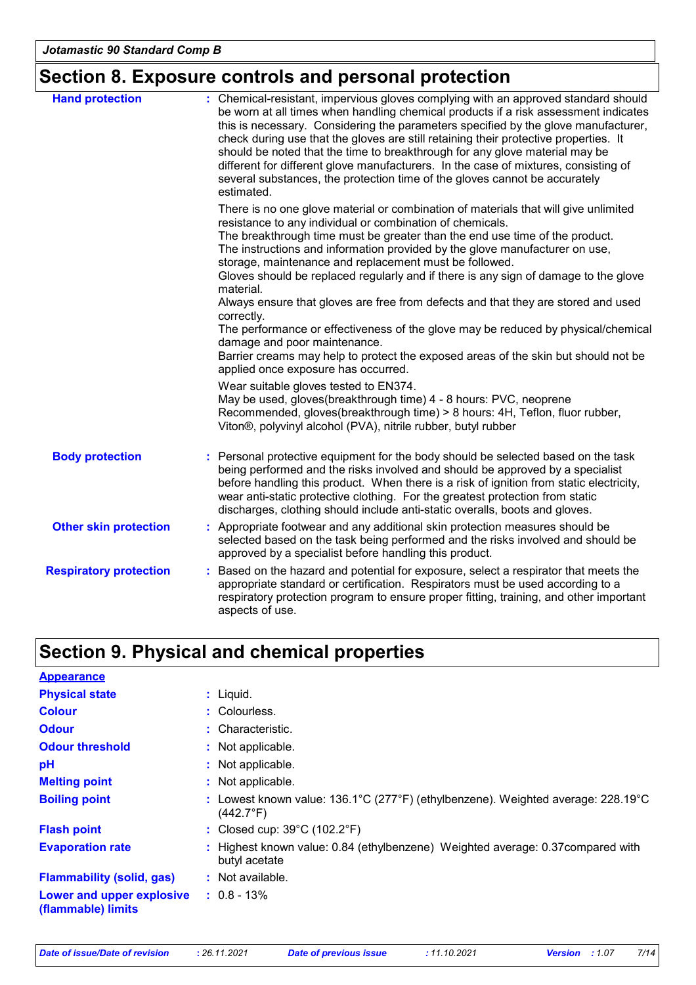# **Section 8. Exposure controls and personal protection**

| <b>Hand protection</b>        | : Chemical-resistant, impervious gloves complying with an approved standard should<br>be worn at all times when handling chemical products if a risk assessment indicates<br>this is necessary. Considering the parameters specified by the glove manufacturer,<br>check during use that the gloves are still retaining their protective properties. It<br>should be noted that the time to breakthrough for any glove material may be<br>different for different glove manufacturers. In the case of mixtures, consisting of<br>several substances, the protection time of the gloves cannot be accurately<br>estimated. |  |
|-------------------------------|---------------------------------------------------------------------------------------------------------------------------------------------------------------------------------------------------------------------------------------------------------------------------------------------------------------------------------------------------------------------------------------------------------------------------------------------------------------------------------------------------------------------------------------------------------------------------------------------------------------------------|--|
|                               | There is no one glove material or combination of materials that will give unlimited<br>resistance to any individual or combination of chemicals.<br>The breakthrough time must be greater than the end use time of the product.<br>The instructions and information provided by the glove manufacturer on use,<br>storage, maintenance and replacement must be followed.<br>Gloves should be replaced regularly and if there is any sign of damage to the glove<br>material.                                                                                                                                              |  |
|                               | Always ensure that gloves are free from defects and that they are stored and used<br>correctly.<br>The performance or effectiveness of the glove may be reduced by physical/chemical<br>damage and poor maintenance.<br>Barrier creams may help to protect the exposed areas of the skin but should not be                                                                                                                                                                                                                                                                                                                |  |
|                               | applied once exposure has occurred.<br>Wear suitable gloves tested to EN374.<br>May be used, gloves(breakthrough time) 4 - 8 hours: PVC, neoprene<br>Recommended, gloves(breakthrough time) > 8 hours: 4H, Teflon, fluor rubber,<br>Viton <sup>®</sup> , polyvinyl alcohol (PVA), nitrile rubber, butyl rubber                                                                                                                                                                                                                                                                                                            |  |
| <b>Body protection</b>        | : Personal protective equipment for the body should be selected based on the task<br>being performed and the risks involved and should be approved by a specialist<br>before handling this product. When there is a risk of ignition from static electricity,<br>wear anti-static protective clothing. For the greatest protection from static<br>discharges, clothing should include anti-static overalls, boots and gloves.                                                                                                                                                                                             |  |
| <b>Other skin protection</b>  | : Appropriate footwear and any additional skin protection measures should be<br>selected based on the task being performed and the risks involved and should be<br>approved by a specialist before handling this product.                                                                                                                                                                                                                                                                                                                                                                                                 |  |
| <b>Respiratory protection</b> | : Based on the hazard and potential for exposure, select a respirator that meets the<br>appropriate standard or certification. Respirators must be used according to a<br>respiratory protection program to ensure proper fitting, training, and other important<br>aspects of use.                                                                                                                                                                                                                                                                                                                                       |  |

# **Section 9. Physical and chemical properties**

| <b>Appearance</b>                               |                                                                                                                                        |
|-------------------------------------------------|----------------------------------------------------------------------------------------------------------------------------------------|
| <b>Physical state</b>                           | $:$ Liquid.                                                                                                                            |
| <b>Colour</b>                                   | : Colourless.                                                                                                                          |
| <b>Odour</b>                                    | : Characteristic.                                                                                                                      |
| <b>Odour threshold</b>                          | : Not applicable.                                                                                                                      |
| рH                                              | : Not applicable.                                                                                                                      |
| <b>Melting point</b>                            | : Not applicable.                                                                                                                      |
| <b>Boiling point</b>                            | : Lowest known value: $136.1^{\circ}$ C (277 $^{\circ}$ F) (ethylbenzene). Weighted average: 228.19 $^{\circ}$ C<br>$(442.7^{\circ}F)$ |
| <b>Flash point</b>                              | : Closed cup: $39^{\circ}$ C (102.2 $^{\circ}$ F)                                                                                      |
| <b>Evaporation rate</b>                         | : Highest known value: 0.84 (ethylbenzene) Weighted average: 0.37 compared with<br>butyl acetate                                       |
| <b>Flammability (solid, gas)</b>                | $:$ Not available.                                                                                                                     |
| Lower and upper explosive<br>(flammable) limits | $: 0.8 - 13\%$                                                                                                                         |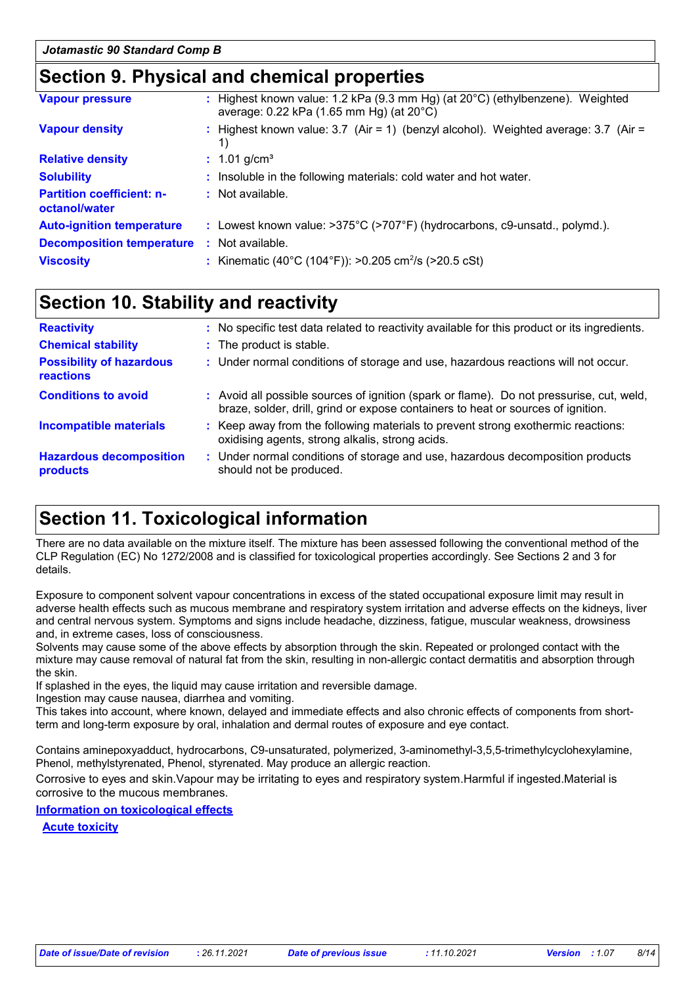### **Section 9. Physical and chemical properties**

| <b>Vapour pressure</b>                            | : Highest known value: 1.2 kPa (9.3 mm Hg) (at $20^{\circ}$ C) (ethylbenzene). Weighted<br>average: 0.22 kPa (1.65 mm Hg) (at 20°C) |
|---------------------------------------------------|-------------------------------------------------------------------------------------------------------------------------------------|
| <b>Vapour density</b>                             | : Highest known value: 3.7 (Air = 1) (benzyl alcohol). Weighted average: 3.7 (Air =<br>1)                                           |
| <b>Relative density</b>                           | $: 1.01$ g/cm <sup>3</sup>                                                                                                          |
| <b>Solubility</b>                                 | : Insoluble in the following materials: cold water and hot water.                                                                   |
| <b>Partition coefficient: n-</b><br>octanol/water | $\therefore$ Not available.                                                                                                         |
| <b>Auto-ignition temperature</b>                  | : Lowest known value: $>375^{\circ}$ C ( $>707^{\circ}$ F) (hydrocarbons, c9-unsatd., polymd.).                                     |
| <b>Decomposition temperature</b>                  | : Not available.                                                                                                                    |
| <b>Viscosity</b>                                  | : Kinematic (40°C (104°F)): >0.205 cm <sup>2</sup> /s (>20.5 cSt)                                                                   |
|                                                   |                                                                                                                                     |

### **Section 10. Stability and reactivity**

| : No specific test data related to reactivity available for this product or its ingredients.                                                                                 |
|------------------------------------------------------------------------------------------------------------------------------------------------------------------------------|
| : The product is stable.                                                                                                                                                     |
| : Under normal conditions of storage and use, hazardous reactions will not occur.                                                                                            |
| : Avoid all possible sources of ignition (spark or flame). Do not pressurise, cut, weld,<br>braze, solder, drill, grind or expose containers to heat or sources of ignition. |
| : Keep away from the following materials to prevent strong exothermic reactions:<br>oxidising agents, strong alkalis, strong acids.                                          |
| : Under normal conditions of storage and use, hazardous decomposition products<br>should not be produced.                                                                    |
|                                                                                                                                                                              |

# **Section 11. Toxicological information**

There are no data available on the mixture itself. The mixture has been assessed following the conventional method of the CLP Regulation (EC) No 1272/2008 and is classified for toxicological properties accordingly. See Sections 2 and 3 for details.

Exposure to component solvent vapour concentrations in excess of the stated occupational exposure limit may result in adverse health effects such as mucous membrane and respiratory system irritation and adverse effects on the kidneys, liver and central nervous system. Symptoms and signs include headache, dizziness, fatigue, muscular weakness, drowsiness and, in extreme cases, loss of consciousness.

Solvents may cause some of the above effects by absorption through the skin. Repeated or prolonged contact with the mixture may cause removal of natural fat from the skin, resulting in non-allergic contact dermatitis and absorption through the skin.

If splashed in the eyes, the liquid may cause irritation and reversible damage.

Ingestion may cause nausea, diarrhea and vomiting.

This takes into account, where known, delayed and immediate effects and also chronic effects of components from shortterm and long-term exposure by oral, inhalation and dermal routes of exposure and eye contact.

Contains aminepoxyadduct, hydrocarbons, C9-unsaturated, polymerized, 3-aminomethyl-3,5,5-trimethylcyclohexylamine, Phenol, methylstyrenated, Phenol, styrenated. May produce an allergic reaction.

Corrosive to eyes and skin.Vapour may be irritating to eyes and respiratory system.Harmful if ingested.Material is corrosive to the mucous membranes.

**Information on toxicological effects**

**Acute toxicity**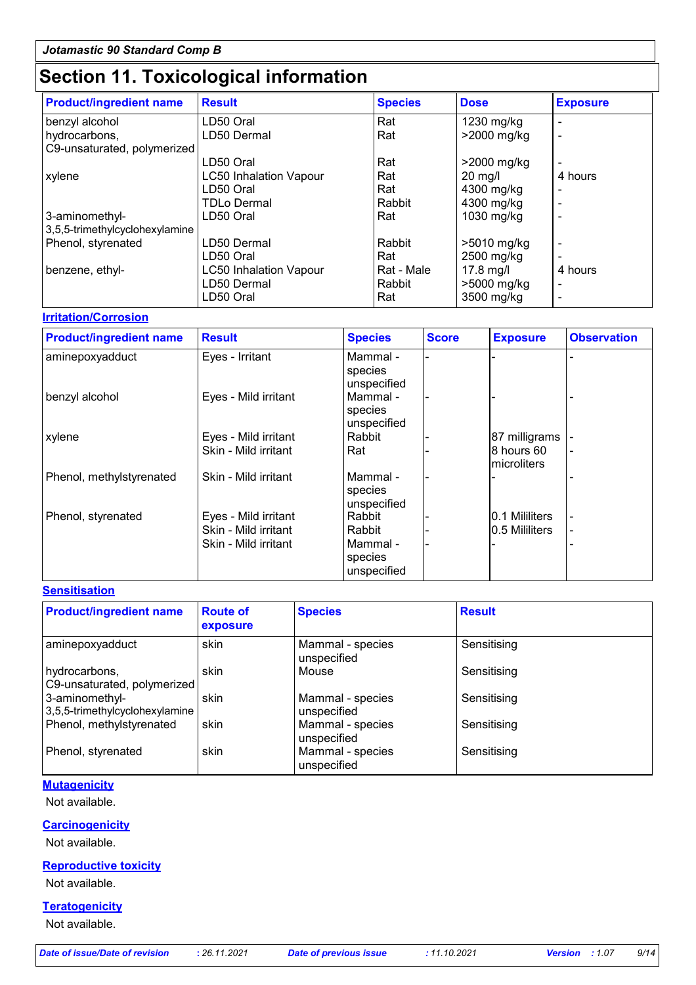# **Section 11. Toxicological information**

| <b>Product/ingredient name</b> | <b>Result</b>                 | <b>Species</b> | <b>Dose</b>   | <b>Exposure</b> |
|--------------------------------|-------------------------------|----------------|---------------|-----------------|
| benzyl alcohol                 | LD50 Oral                     | Rat            | 1230 mg/kg    |                 |
| hydrocarbons,                  | LD50 Dermal                   | Rat            | >2000 mg/kg   |                 |
| C9-unsaturated, polymerized    |                               |                |               |                 |
|                                | LD50 Oral                     | Rat            | >2000 mg/kg   |                 |
| xylene                         | <b>LC50 Inhalation Vapour</b> | Rat            | $20$ mg/l     | 4 hours         |
|                                | LD50 Oral                     | Rat            | 4300 mg/kg    |                 |
|                                | <b>TDLo Dermal</b>            | Rabbit         | 4300 mg/kg    |                 |
| 3-aminomethyl-                 | LD50 Oral                     | Rat            | 1030 mg/kg    |                 |
| 3,5,5-trimethylcyclohexylamine |                               |                |               |                 |
| Phenol, styrenated             | LD50 Dermal                   | Rabbit         | $>5010$ mg/kg |                 |
|                                | LD50 Oral                     | Rat            | 2500 mg/kg    |                 |
| benzene, ethyl-                | <b>LC50 Inhalation Vapour</b> | Rat - Male     | $17.8$ mg/l   | 4 hours         |
|                                | LD50 Dermal                   | Rabbit         | >5000 mg/kg   |                 |
|                                | LD50 Oral                     | Rat            | 3500 mg/kg    |                 |

#### **Irritation/Corrosion**

| <b>Product/ingredient name</b> | <b>Result</b>        | <b>Species</b> | <b>Score</b> | <b>Exposure</b> | <b>Observation</b> |
|--------------------------------|----------------------|----------------|--------------|-----------------|--------------------|
| aminepoxyadduct                | Eyes - Irritant      | Mammal -       |              |                 |                    |
|                                |                      | species        |              |                 |                    |
|                                |                      | unspecified    |              |                 |                    |
| benzyl alcohol                 | Eyes - Mild irritant | Mammal -       |              |                 |                    |
|                                |                      | species        |              |                 |                    |
|                                |                      | unspecified    |              |                 |                    |
| xylene                         | Eyes - Mild irritant | Rabbit         |              | 87 milligrams   |                    |
|                                | Skin - Mild irritant | Rat            |              | 8 hours 60      |                    |
|                                |                      |                |              | Imicroliters    |                    |
| Phenol, methylstyrenated       | Skin - Mild irritant | Mammal -       |              |                 |                    |
|                                |                      | species        |              |                 |                    |
|                                |                      | unspecified    |              |                 |                    |
| Phenol, styrenated             | Eyes - Mild irritant | Rabbit         |              | I0.1 Mililiters |                    |
|                                | Skin - Mild irritant | Rabbit         |              | 0.5 Mililiters  |                    |
|                                | Skin - Mild irritant | Mammal -       |              |                 |                    |
|                                |                      | species        |              |                 |                    |
|                                |                      | unspecified    |              |                 |                    |

#### **Sensitisation**

| <b>Product/ingredient name</b>                   | <b>Route of</b><br>exposure | <b>Species</b>                  | <b>Result</b> |
|--------------------------------------------------|-----------------------------|---------------------------------|---------------|
| aminepoxyadduct                                  | skin                        | Mammal - species<br>unspecified | Sensitising   |
| hydrocarbons,<br>C9-unsaturated, polymerized     | skin                        | Mouse                           | Sensitising   |
| 3-aminomethyl-<br>3,5,5-trimethylcyclohexylamine | skin                        | Mammal - species<br>unspecified | Sensitising   |
| Phenol, methylstyrenated                         | skin                        | Mammal - species<br>unspecified | Sensitising   |
| Phenol, styrenated                               | skin                        | Mammal - species<br>unspecified | Sensitising   |

#### **Mutagenicity**

Not available.

#### **Carcinogenicity**

Not available.

#### **Reproductive toxicity**

Not available.

#### **Teratogenicity**

Not available.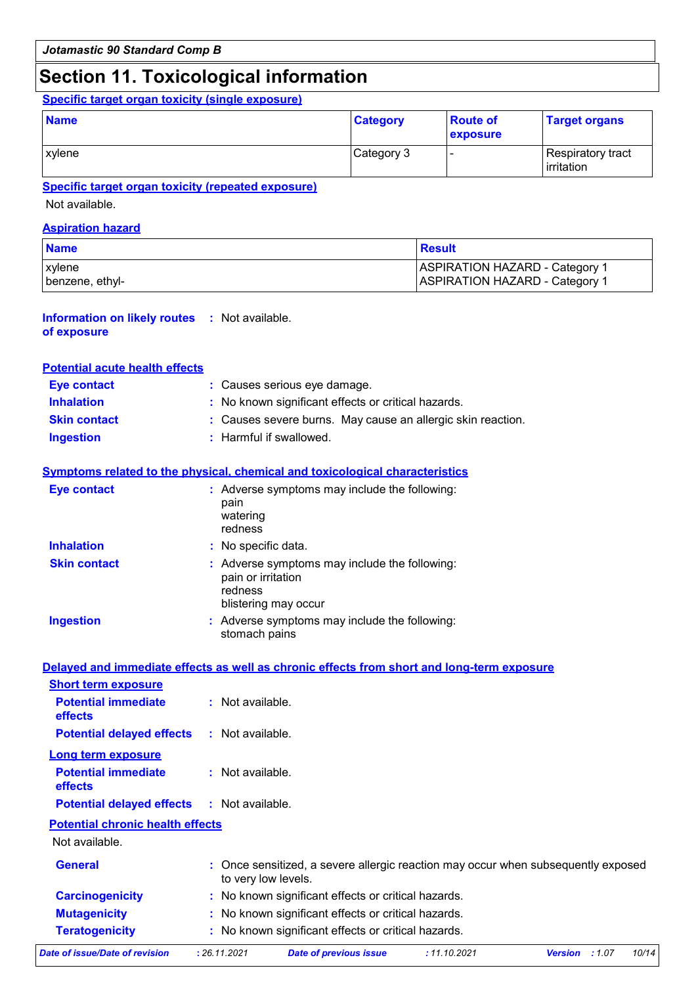### **Section 11. Toxicological information**

### **Specific target organ toxicity (single exposure)**

| <b>Name</b> | <b>Category</b> | <b>Route of</b><br>exposure | <b>Target organs</b>             |
|-------------|-----------------|-----------------------------|----------------------------------|
| xylene      | Category 3      |                             | Respiratory tract_<br>irritation |

#### **Specific target organ toxicity (repeated exposure)**

Not available.

#### **Aspiration hazard**

| <b>Name</b>     | Result                                |
|-----------------|---------------------------------------|
| <b>xvlene</b>   | <b>ASPIRATION HAZARD - Category 1</b> |
| benzene, ethyl- | ASPIRATION HAZARD - Category 1        |

#### **Information on likely routes :** Not available. **of exposure**

#### **Potential acute health effects**

| <b>Eve contact</b>  | : Causes serious eye damage.                                |
|---------------------|-------------------------------------------------------------|
| <b>Inhalation</b>   | : No known significant effects or critical hazards.         |
| <b>Skin contact</b> | : Causes severe burns. May cause an allergic skin reaction. |
| Ingestion           | : Harmful if swallowed.                                     |

#### **Symptoms related to the physical, chemical and toxicological characteristics**

| <b>Eye contact</b>  | : Adverse symptoms may include the following:<br>pain<br>watering<br>redness                           |
|---------------------|--------------------------------------------------------------------------------------------------------|
| <b>Inhalation</b>   | : No specific data.                                                                                    |
| <b>Skin contact</b> | : Adverse symptoms may include the following:<br>pain or irritation<br>redness<br>blistering may occur |
| <b>Ingestion</b>    | : Adverse symptoms may include the following:<br>stomach pains                                         |

#### **Delayed and immediate effects as well as chronic effects from short and long-term exposure**

| <b>Short term exposure</b>            |                    |
|---------------------------------------|--------------------|
| <b>Potential immediate</b><br>effects | $:$ Not available. |
| <b>Potential delayed effects</b>      | : Not available.   |
| Long term exposure                    |                    |
| <b>Potential immediate</b><br>effects | : Not available.   |
| <b>Potential delayed effects</b>      | $:$ Not available. |

#### **Potential chronic health effects**

Not available.

| Date of issue/Date of revision | : 26.11.2021                                                                                             | <b>Date of previous issue</b>                       | : 11.10.2021 | <b>Version</b> : 1.07 | 10/14 |
|--------------------------------|----------------------------------------------------------------------------------------------------------|-----------------------------------------------------|--------------|-----------------------|-------|
| <b>Teratogenicity</b>          |                                                                                                          | : No known significant effects or critical hazards. |              |                       |       |
| <b>Mutagenicity</b>            |                                                                                                          | : No known significant effects or critical hazards. |              |                       |       |
| <b>Carcinogenicity</b>         |                                                                                                          | : No known significant effects or critical hazards. |              |                       |       |
| <b>General</b>                 | : Once sensitized, a severe allergic reaction may occur when subsequently exposed<br>to very low levels. |                                                     |              |                       |       |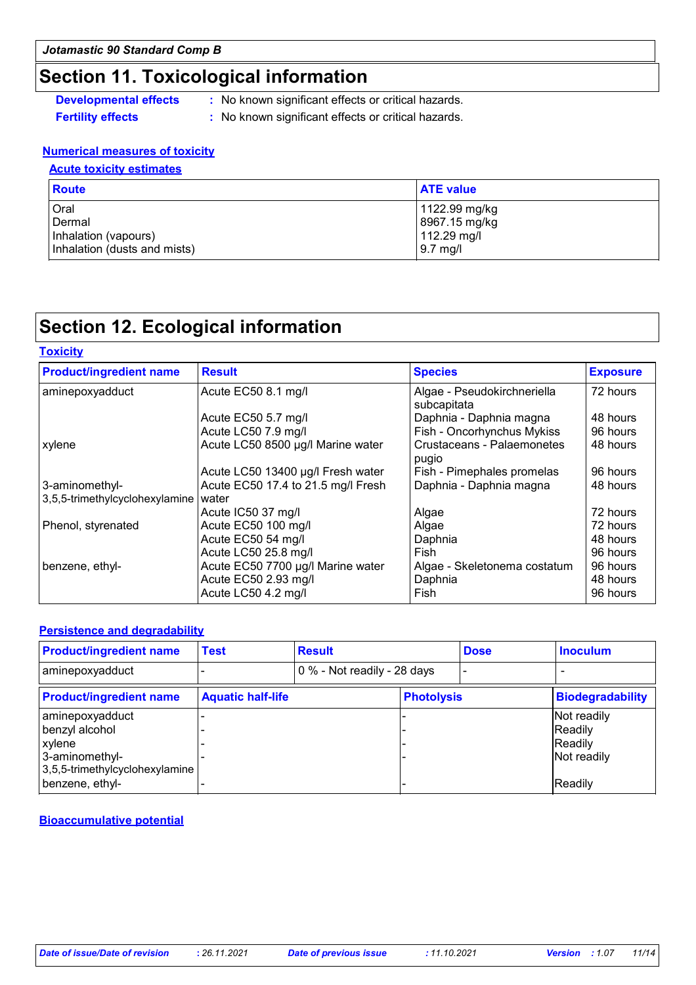# **Section 11. Toxicological information**

- **Developmental effects** : No known significant effects or critical hazards.
- 
- **Fertility effects :** No known significant effects or critical hazards.

#### **Numerical measures of toxicity**

#### **Acute toxicity estimates**

| Route                        | <b>ATE value</b> |
|------------------------------|------------------|
| Oral                         | 1122.99 mg/kg    |
| Dermal                       | 8967.15 mg/kg    |
| Inhalation (vapours)         | 112.29 mg/l      |
| Inhalation (dusts and mists) | $9.7$ mg/l       |

# **Section 12. Ecological information**

| <b>Toxicity</b>                |                                    |                                            |                 |
|--------------------------------|------------------------------------|--------------------------------------------|-----------------|
| <b>Product/ingredient name</b> | <b>Result</b>                      | <b>Species</b>                             | <b>Exposure</b> |
| aminepoxyadduct                | Acute EC50 8.1 mg/l                | Algae - Pseudokirchneriella<br>subcapitata | 72 hours        |
|                                | Acute EC50 5.7 mg/l                | Daphnia - Daphnia magna                    | 48 hours        |
|                                | Acute LC50 7.9 mg/l                | Fish - Oncorhynchus Mykiss                 | 96 hours        |
| xylene                         | Acute LC50 8500 µg/l Marine water  | Crustaceans - Palaemonetes<br>pugio        | 48 hours        |
|                                | Acute LC50 13400 µg/l Fresh water  | Fish - Pimephales promelas                 | 96 hours        |
| 3-aminomethyl-                 | Acute EC50 17.4 to 21.5 mg/l Fresh | Daphnia - Daphnia magna                    | 48 hours        |
| 3,5,5-trimethylcyclohexylamine | water                              |                                            |                 |
|                                | Acute IC50 37 mg/l                 | Algae                                      | 72 hours        |
| Phenol, styrenated             | Acute EC50 100 mg/l                | Algae                                      | 72 hours        |
|                                | Acute EC50 54 mg/l                 | Daphnia                                    | 48 hours        |
|                                | Acute LC50 25.8 mg/l               | Fish                                       | 96 hours        |
| benzene, ethyl-                | Acute EC50 7700 µg/l Marine water  | Algae - Skeletonema costatum               | 96 hours        |
|                                | Acute EC50 2.93 mg/l               | Daphnia                                    | 48 hours        |
|                                | Acute LC50 4.2 mg/l                | Fish                                       | 96 hours        |
|                                |                                    |                                            |                 |

#### **Persistence and degradability**

| <b>Product/ingredient name</b>                                                                  | <b>Test</b>              | <b>Result</b>               |                   | <b>Dose</b> | <b>Inoculum</b>                                  |
|-------------------------------------------------------------------------------------------------|--------------------------|-----------------------------|-------------------|-------------|--------------------------------------------------|
| aminepoxyadduct                                                                                 |                          | 0 % - Not readily - 28 days |                   |             |                                                  |
| <b>Product/ingredient name</b>                                                                  | <b>Aquatic half-life</b> |                             | <b>Photolysis</b> |             | <b>Biodegradability</b>                          |
| aminepoxyadduct<br>benzyl alcohol<br>xylene<br>3-aminomethyl-<br>3,5,5-trimethylcyclohexylamine |                          |                             |                   |             | Not readily<br>Readily<br>Readily<br>Not readily |
| benzene, ethyl-                                                                                 |                          |                             |                   |             | Readily                                          |

**Bioaccumulative potential**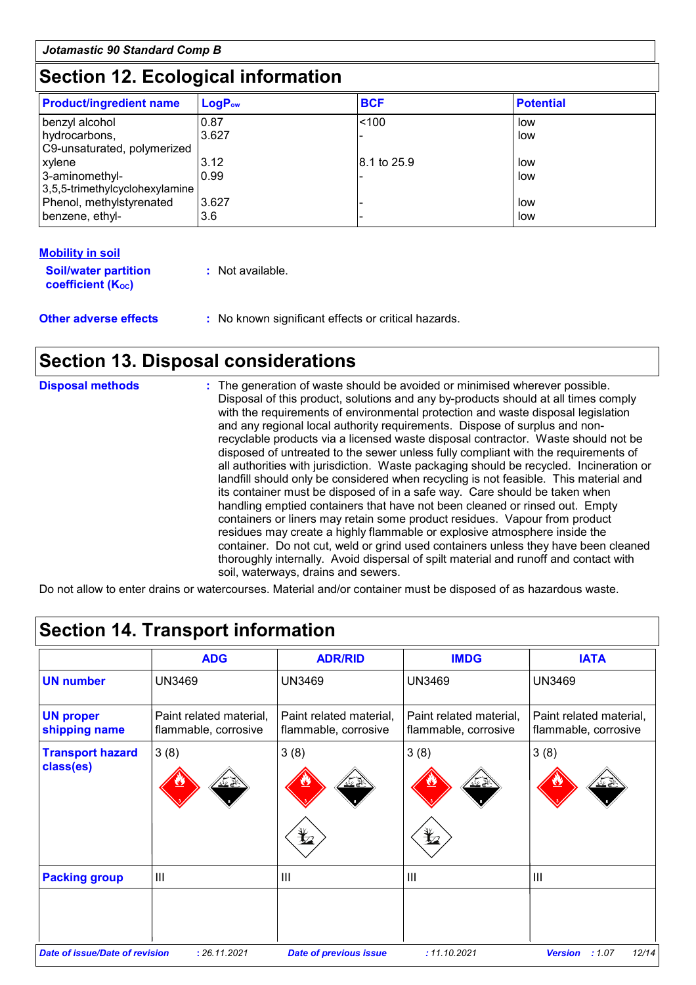# **Section 12. Ecological information**

| <b>Product/ingredient name</b>                   | <b>LogPow</b> | <b>BCF</b>  | <b>Potential</b> |
|--------------------------------------------------|---------------|-------------|------------------|
| benzyl alcohol                                   | 0.87          | < 100       | low              |
| hydrocarbons,<br>C9-unsaturated, polymerized     | 3.627         |             | low              |
| xylene                                           | 3.12          | 8.1 to 25.9 | low              |
| 3-aminomethyl-<br>3,5,5-trimethylcyclohexylamine | 0.99          |             | low              |
| Phenol, methylstyrenated                         | 3.627         |             | low              |
| benzene, ethyl-                                  | 3.6           |             | low              |

# **Mobility in soil**

| <b>Soil/water partition</b> | : Not available. |
|-----------------------------|------------------|
| <b>coefficient (Koc)</b>    |                  |
|                             |                  |

**Other adverse effects** : No known significant effects or critical hazards.

# **Section 13. Disposal considerations**

| <b>Disposal methods</b> | : The generation of waste should be avoided or minimised wherever possible.<br>Disposal of this product, solutions and any by-products should at all times comply<br>with the requirements of environmental protection and waste disposal legislation<br>and any regional local authority requirements. Dispose of surplus and non-<br>recyclable products via a licensed waste disposal contractor. Waste should not be<br>disposed of untreated to the sewer unless fully compliant with the requirements of<br>all authorities with jurisdiction. Waste packaging should be recycled. Incineration or<br>landfill should only be considered when recycling is not feasible. This material and<br>its container must be disposed of in a safe way. Care should be taken when<br>handling emptied containers that have not been cleaned or rinsed out. Empty<br>containers or liners may retain some product residues. Vapour from product<br>residues may create a highly flammable or explosive atmosphere inside the<br>container. Do not cut, weld or grind used containers unless they have been cleaned |
|-------------------------|----------------------------------------------------------------------------------------------------------------------------------------------------------------------------------------------------------------------------------------------------------------------------------------------------------------------------------------------------------------------------------------------------------------------------------------------------------------------------------------------------------------------------------------------------------------------------------------------------------------------------------------------------------------------------------------------------------------------------------------------------------------------------------------------------------------------------------------------------------------------------------------------------------------------------------------------------------------------------------------------------------------------------------------------------------------------------------------------------------------|
|                         | thoroughly internally. Avoid dispersal of spilt material and runoff and contact with<br>soil, waterways, drains and sewers.                                                                                                                                                                                                                                                                                                                                                                                                                                                                                                                                                                                                                                                                                                                                                                                                                                                                                                                                                                                    |

Do not allow to enter drains or watercourses. Material and/or container must be disposed of as hazardous waste.

|                                   | <b>ADG</b>                                      | <b>ADR/RID</b>                                  | <b>IMDG</b>                                     | <b>IATA</b>                                     |
|-----------------------------------|-------------------------------------------------|-------------------------------------------------|-------------------------------------------------|-------------------------------------------------|
| <b>UN number</b>                  | <b>UN3469</b>                                   | <b>UN3469</b>                                   | <b>UN3469</b>                                   | <b>UN3469</b>                                   |
| <b>UN proper</b><br>shipping name | Paint related material,<br>flammable, corrosive | Paint related material,<br>flammable, corrosive | Paint related material,<br>flammable, corrosive | Paint related material,<br>flammable, corrosive |
| <b>Transport hazard</b>           | 3(8)                                            | 3(8)                                            | 3(8)                                            | 3(8)                                            |
| class(es)                         | ڴ؇                                              | 业业                                              | یخ عند                                          |                                                 |
|                                   |                                                 | q                                               | ⋭2                                              |                                                 |
| <b>Packing group</b>              | III                                             | $\mathbf{III}$                                  | $\mathbf{III}$                                  | III                                             |
|                                   |                                                 |                                                 |                                                 |                                                 |
|                                   |                                                 |                                                 |                                                 |                                                 |
| Date of issue/Date of revision    | : 26.11.2021                                    | <b>Date of previous issue</b>                   | : 11.10.2021                                    | 12/14<br>:1.07<br><b>Version</b>                |

# **Section 14. Transport information**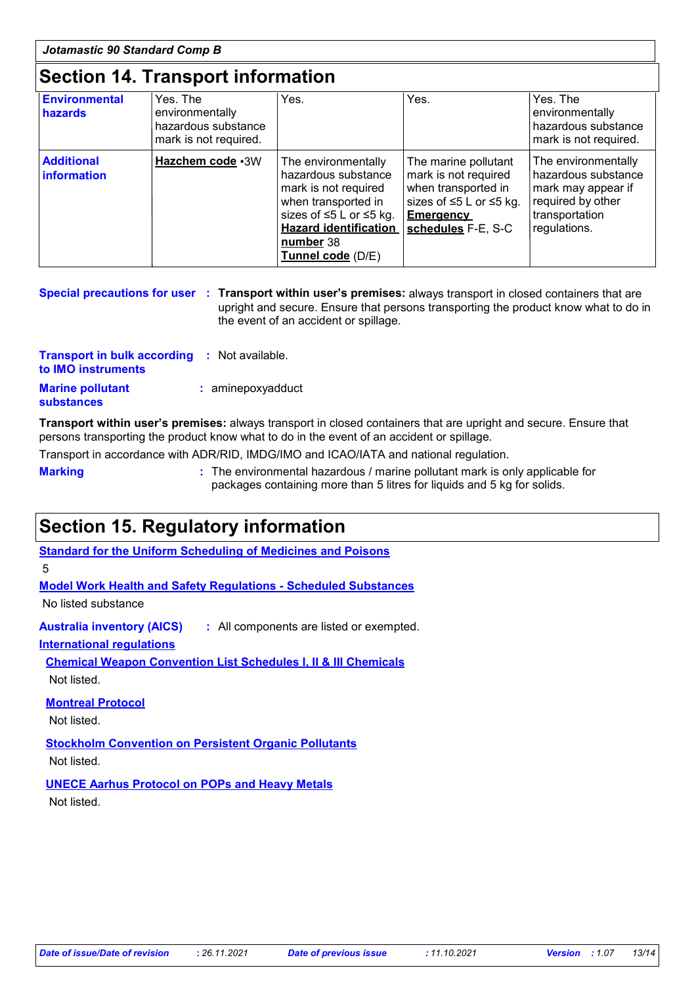### **Section 14. Transport information**

| Environmental<br>hazards                | Yes. The<br>environmentally<br>hazardous substance<br>mark is not required. | Yes.                                                                                                                                                                                   | Yes.                                                                                                                                     | Yes. The<br>environmentally<br>hazardous substance<br>mark is not required.                                             |
|-----------------------------------------|-----------------------------------------------------------------------------|----------------------------------------------------------------------------------------------------------------------------------------------------------------------------------------|------------------------------------------------------------------------------------------------------------------------------------------|-------------------------------------------------------------------------------------------------------------------------|
| <b>Additional</b><br><b>information</b> | Hazchem code .3W                                                            | The environmentally<br>hazardous substance<br>mark is not required<br>when transported in<br>sizes of ≤5 L or ≤5 kg.<br><b>Hazard identification</b><br>number 38<br>Tunnel code (D/E) | The marine pollutant<br>mark is not required<br>when transported in<br>sizes of ≤5 L or ≤5 kg.<br><b>Emergency</b><br>schedules F-E, S-C | The environmentally<br>hazardous substance<br>mark may appear if<br>required by other<br>transportation<br>regulations. |

|  | Special precautions for user : Transport within user's premises: always transport in closed containers that are |
|--|-----------------------------------------------------------------------------------------------------------------|
|  | upright and secure. Ensure that persons transporting the product know what to do in                             |
|  | the event of an accident or spillage.                                                                           |

| <b>Transport in bulk according</b><br>to IMO instruments | : Not available.  |
|----------------------------------------------------------|-------------------|
| <b>Marine pollutant</b><br><b>substances</b>             | : aminepoxyadduct |

**Transport within user's premises:** always transport in closed containers that are upright and secure. Ensure that persons transporting the product know what to do in the event of an accident or spillage.

Transport in accordance with ADR/RID, IMDG/IMO and ICAO/IATA and national regulation.

**Marking :** The environmental hazardous / marine pollutant mark is only applicable for packages containing more than 5 litres for liquids and 5 kg for solids.

### **Section 15. Regulatory information**

**Standard for the Uniform Scheduling of Medicines and Poisons**

5

**Model Work Health and Safety Regulations - Scheduled Substances**

No listed substance

**Australia inventory (AICS) :** All components are listed or exempted.

**International regulations**

**Chemical Weapon Convention List Schedules I, II & III Chemicals** Not listed.

**Montreal Protocol**

Not listed.

**Stockholm Convention on Persistent Organic Pollutants** Not listed.

**UNECE Aarhus Protocol on POPs and Heavy Metals** Not listed.